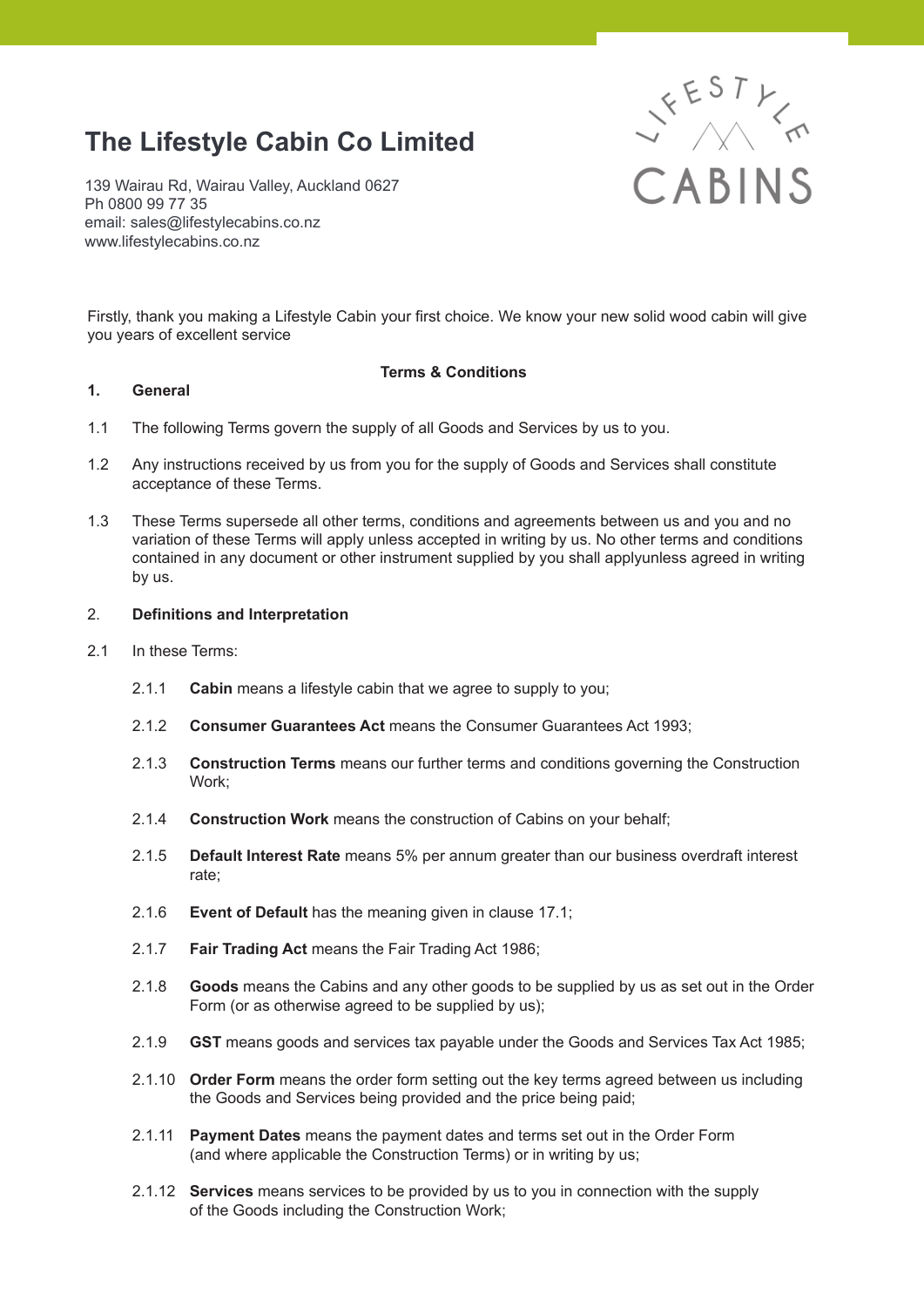# **The Lifestyle Cabin Co Limited**

139 Wairau Rd, Wairau Valley, Auckland 0627 Ph 0800 99 77 35 email: sales@lifestylecabins.co.nz www.lifestylecabins.co.nz



Firstly, thank you making a Lifestyle Cabin your first choice. We know your new solid wood cabin will give you years of excellent service

# **Terms & Conditions**

# **1. General**

- 1.1 The following Terms govern the supply of all Goods and Services by us to you.
- 1.2 Any instructions received by us from you for the supply of Goods and Services shall constitute acceptance of these Terms.
- 1.3 These Terms supersede all other terms, conditions and agreements between us and you and no variation of these Terms will apply unless accepted in writing by us. No other terms and conditions contained in any document or other instrument supplied by you shall applyunless agreed in writing by us.

## 2. **Definitions and Interpretation**

- 2.1 In these Terms:
	- 2.1.1 **Cabin** means a lifestyle cabin that we agree to supply to you;
	- 2.1.2 **Consumer Guarantees Act** means the Consumer Guarantees Act 1993;
	- 2.1.3 **Construction Terms** means our further terms and conditions governing the Construction Work;
	- 2.1.4 **Construction Work** means the construction of Cabins on your behalf;
	- 2.1.5 **Default Interest Rate** means 5% per annum greater than our business overdraft interest rate;
	- 2.1.6 **Event of Default** has the meaning given in clause 17.1;
	- 2.1.7 **Fair Trading Act** means the Fair Trading Act 1986;
	- 2.1.8 **Goods** means the Cabins and any other goods to be supplied by us as set out in the Order Form (or as otherwise agreed to be supplied by us);
	- 2.1.9 **GST** means goods and services tax payable under the Goods and Services Tax Act 1985;
	- 2.1.10 **Order Form** means the order form setting out the key terms agreed between us including the Goods and Services being provided and the price being paid;
	- 2.1.11 **Payment Dates** means the payment dates and terms set out in the Order Form (and where applicable the Construction Terms) or in writing by us;
	- 2.1.12 **Services** means services to be provided by us to you in connection with the supply of the Goods including the Construction Work;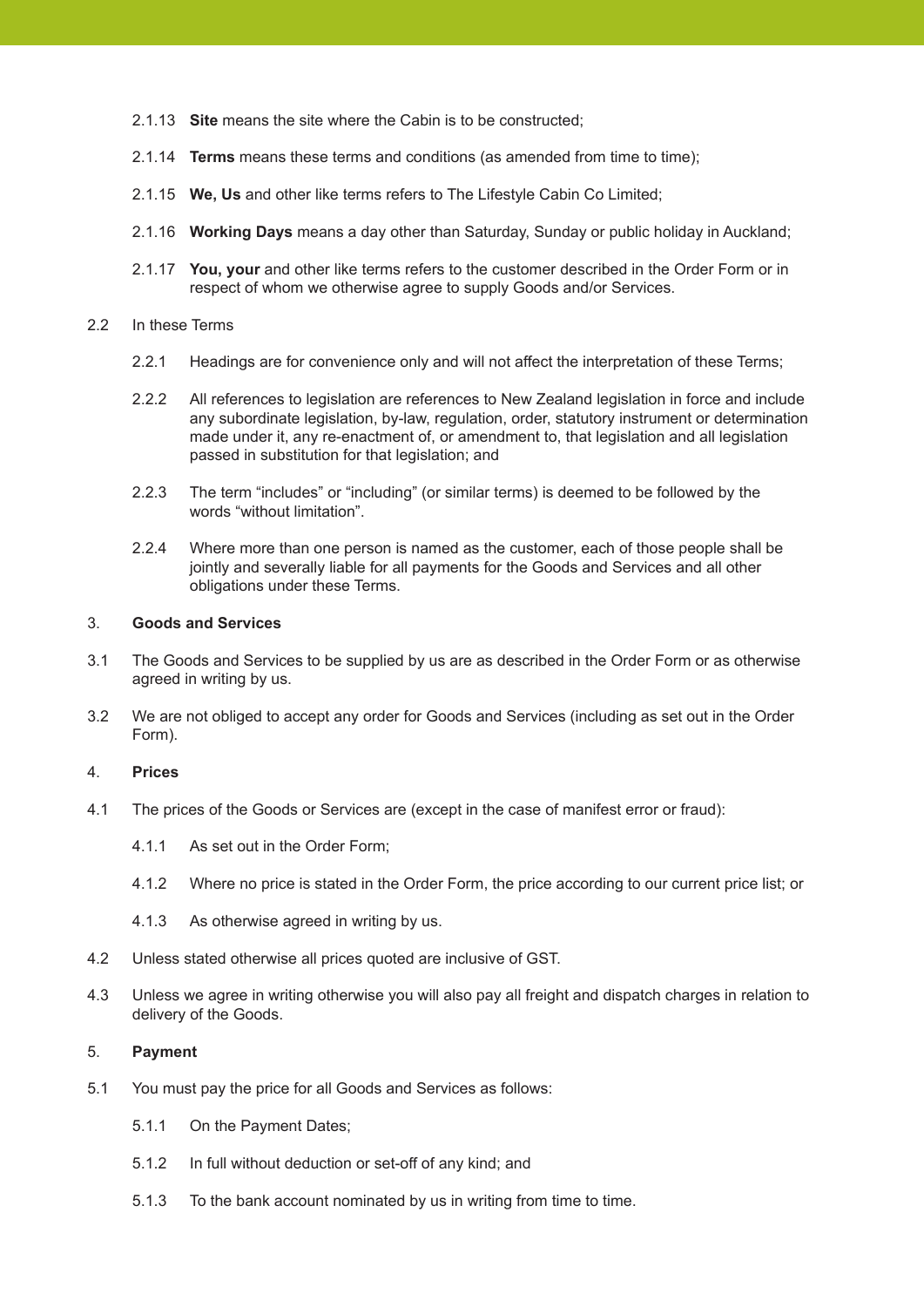- 2.1.13 **Site** means the site where the Cabin is to be constructed;
- 2.1.14 **Terms** means these terms and conditions (as amended from time to time);
- 2.1.15 **We, Us** and other like terms refers to The Lifestyle Cabin Co Limited;
- 2.1.16 **Working Days** means a day other than Saturday, Sunday or public holiday in Auckland;
- 2.1.17 **You, your** and other like terms refers to the customer described in the Order Form or in respect of whom we otherwise agree to supply Goods and/or Services.

## 2.2 In these Terms

- 2.2.1 Headings are for convenience only and will not affect the interpretation of these Terms;
- 2.2.2 All references to legislation are references to New Zealand legislation in force and include any subordinate legislation, by-law, regulation, order, statutory instrument or determination made under it, any re-enactment of, or amendment to, that legislation and all legislation passed in substitution for that legislation; and
- 2.2.3 The term "includes" or "including" (or similar terms) is deemed to be followed by the words "without limitation".
- 2.2.4 Where more than one person is named as the customer, each of those people shall be jointly and severally liable for all payments for the Goods and Services and all other obligations under these Terms.

# 3. **Goods and Services**

- 3.1 The Goods and Services to be supplied by us are as described in the Order Form or as otherwise agreed in writing by us.
- 3.2 We are not obliged to accept any order for Goods and Services (including as set out in the Order Form).

# 4. **Prices**

- 4.1 The prices of the Goods or Services are (except in the case of manifest error or fraud):
	- 4.1.1 As set out in the Order Form;
	- 4.1.2 Where no price is stated in the Order Form, the price according to our current price list; or
	- 4.1.3 As otherwise agreed in writing by us.
- 4.2 Unless stated otherwise all prices quoted are inclusive of GST.
- 4.3 Unless we agree in writing otherwise you will also pay all freight and dispatch charges in relation to delivery of the Goods.

# 5. **Payment**

- 5.1 You must pay the price for all Goods and Services as follows:
	- 5.1.1 On the Payment Dates;
	- 5.1.2 In full without deduction or set-off of any kind; and
	- 5.1.3 To the bank account nominated by us in writing from time to time.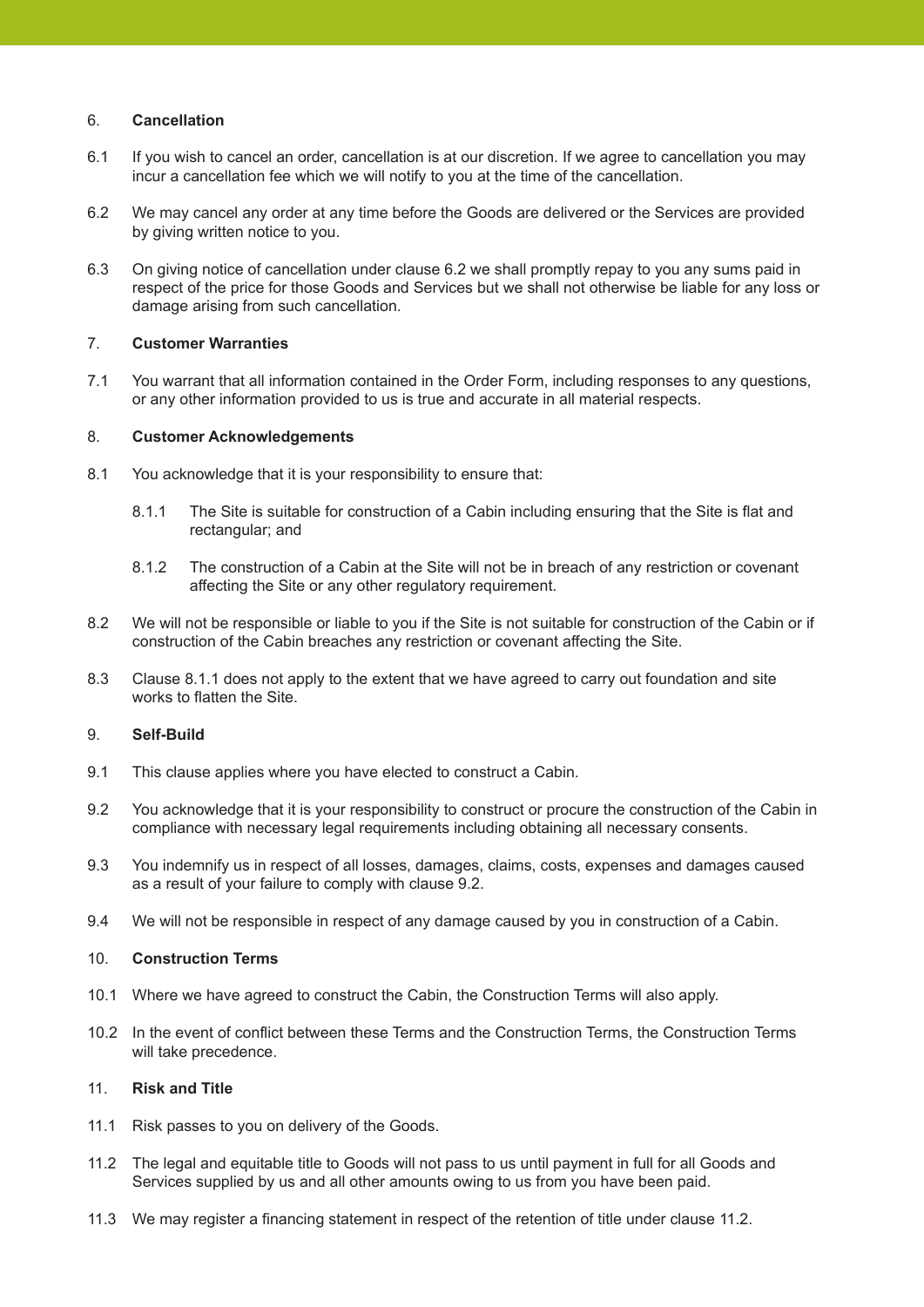# 6. **Cancellation**

- 6.1 If you wish to cancel an order, cancellation is at our discretion. If we agree to cancellation you may incur a cancellation fee which we will notify to you at the time of the cancellation.
- 6.2 We may cancel any order at any time before the Goods are delivered or the Services are provided by giving written notice to you.
- 6.3 On giving notice of cancellation under clause 6.2 we shall promptly repay to you any sums paid in respect of the price for those Goods and Services but we shall not otherwise be liable for any loss or damage arising from such cancellation.

# 7. **Customer Warranties**

7.1 You warrant that all information contained in the Order Form, including responses to any questions, or any other information provided to us is true and accurate in all material respects.

## 8. **Customer Acknowledgements**

- 8.1 You acknowledge that it is your responsibility to ensure that:
	- 8.1.1 The Site is suitable for construction of a Cabin including ensuring that the Site is flat and rectangular; and
	- 8.1.2 The construction of a Cabin at the Site will not be in breach of any restriction or covenant affecting the Site or any other regulatory requirement.
- 8.2 We will not be responsible or liable to you if the Site is not suitable for construction of the Cabin or if construction of the Cabin breaches any restriction or covenant affecting the Site.
- 8.3 Clause 8.1.1 does not apply to the extent that we have agreed to carry out foundation and site works to flatten the Site.

# 9. **Self-Build**

- 9.1 This clause applies where you have elected to construct a Cabin.
- 9.2 You acknowledge that it is your responsibility to construct or procure the construction of the Cabin in compliance with necessary legal requirements including obtaining all necessary consents.
- 9.3 You indemnify us in respect of all losses, damages, claims, costs, expenses and damages caused as a result of your failure to comply with clause 9.2.
- 9.4 We will not be responsible in respect of any damage caused by you in construction of a Cabin.

## 10. **Construction Terms**

- 10.1 Where we have agreed to construct the Cabin, the Construction Terms will also apply.
- 10.2 In the event of conflict between these Terms and the Construction Terms, the Construction Terms will take precedence.

# 11. **Risk and Title**

- 11.1 Risk passes to you on delivery of the Goods.
- 11.2 The legal and equitable title to Goods will not pass to us until payment in full for all Goods and Services supplied by us and all other amounts owing to us from you have been paid.
- 11.3 We may register a financing statement in respect of the retention of title under clause 11.2.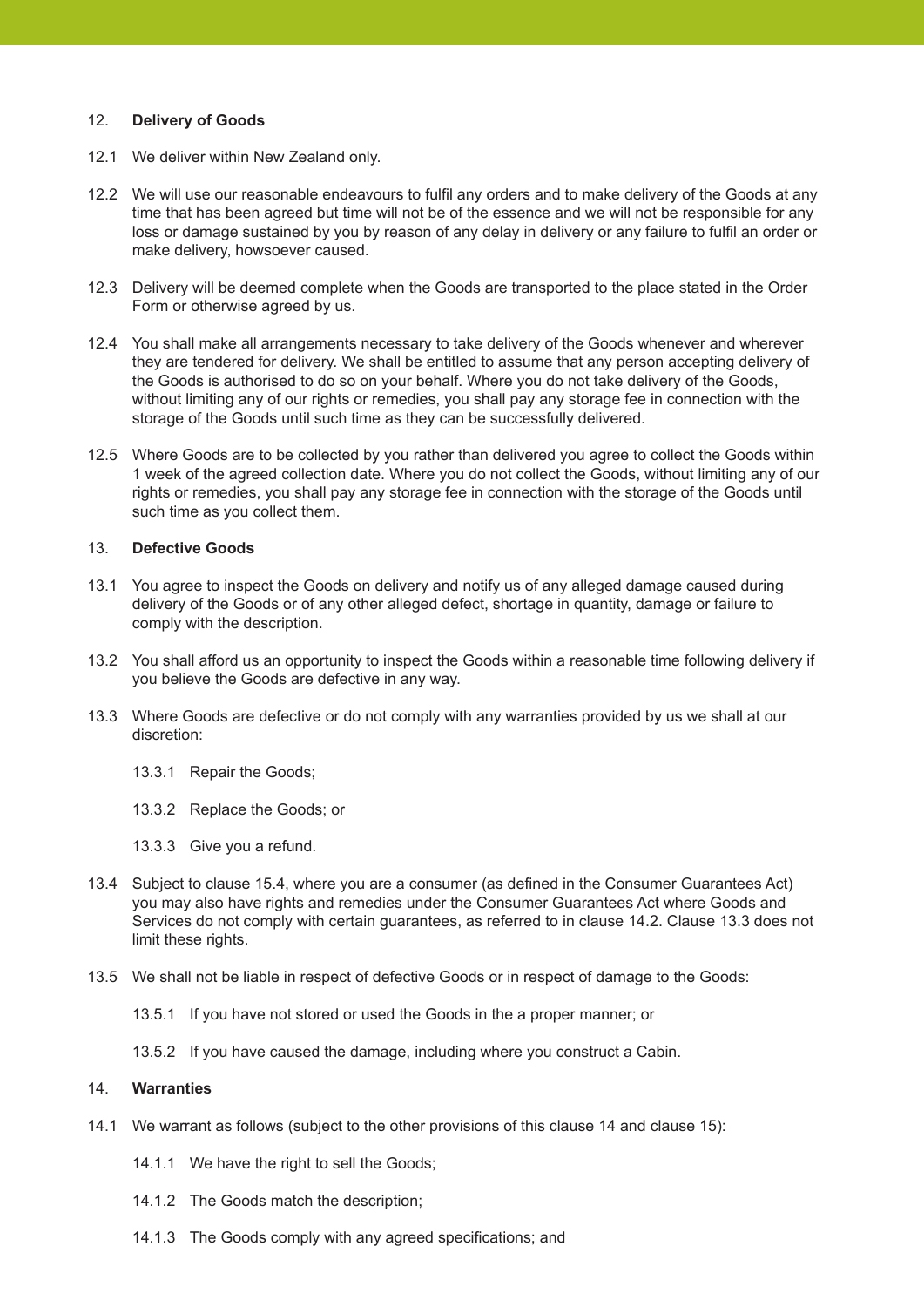# 12. **Delivery of Goods**

- 12.1 We deliver within New Zealand only.
- 12.2 We will use our reasonable endeavours to fulfil any orders and to make delivery of the Goods at any time that has been agreed but time will not be of the essence and we will not be responsible for any loss or damage sustained by you by reason of any delay in delivery or any failure to fulfil an order or make delivery, howsoever caused.
- 12.3 Delivery will be deemed complete when the Goods are transported to the place stated in the Order Form or otherwise agreed by us.
- 12.4 You shall make all arrangements necessary to take delivery of the Goods whenever and wherever they are tendered for delivery. We shall be entitled to assume that any person accepting delivery of the Goods is authorised to do so on your behalf. Where you do not take delivery of the Goods, without limiting any of our rights or remedies, you shall pay any storage fee in connection with the storage of the Goods until such time as they can be successfully delivered.
- 12.5 Where Goods are to be collected by you rather than delivered you agree to collect the Goods within 1 week of the agreed collection date. Where you do not collect the Goods, without limiting any of our rights or remedies, you shall pay any storage fee in connection with the storage of the Goods until such time as you collect them.

## 13. **Defective Goods**

- 13.1 You agree to inspect the Goods on delivery and notify us of any alleged damage caused during delivery of the Goods or of any other alleged defect, shortage in quantity, damage or failure to comply with the description.
- 13.2 You shall afford us an opportunity to inspect the Goods within a reasonable time following delivery if you believe the Goods are defective in any way.
- 13.3 Where Goods are defective or do not comply with any warranties provided by us we shall at our discretion:
	- 13.3.1 Repair the Goods;
	- 13.3.2 Replace the Goods; or
	- 13.3.3 Give you a refund.
- 13.4 Subject to clause 15.4, where you are a consumer (as defined in the Consumer Guarantees Act) you may also have rights and remedies under the Consumer Guarantees Act where Goods and Services do not comply with certain guarantees, as referred to in clause 14.2. Clause 13.3 does not limit these rights.
- 13.5 We shall not be liable in respect of defective Goods or in respect of damage to the Goods:
	- 13.5.1 If you have not stored or used the Goods in the a proper manner; or
	- 13.5.2 If you have caused the damage, including where you construct a Cabin.

## 14. **Warranties**

- 14.1 We warrant as follows (subject to the other provisions of this clause 14 and clause 15):
	- 14.1.1 We have the right to sell the Goods;
	- 14.1.2 The Goods match the description;
	- 14.1.3 The Goods comply with any agreed specifications; and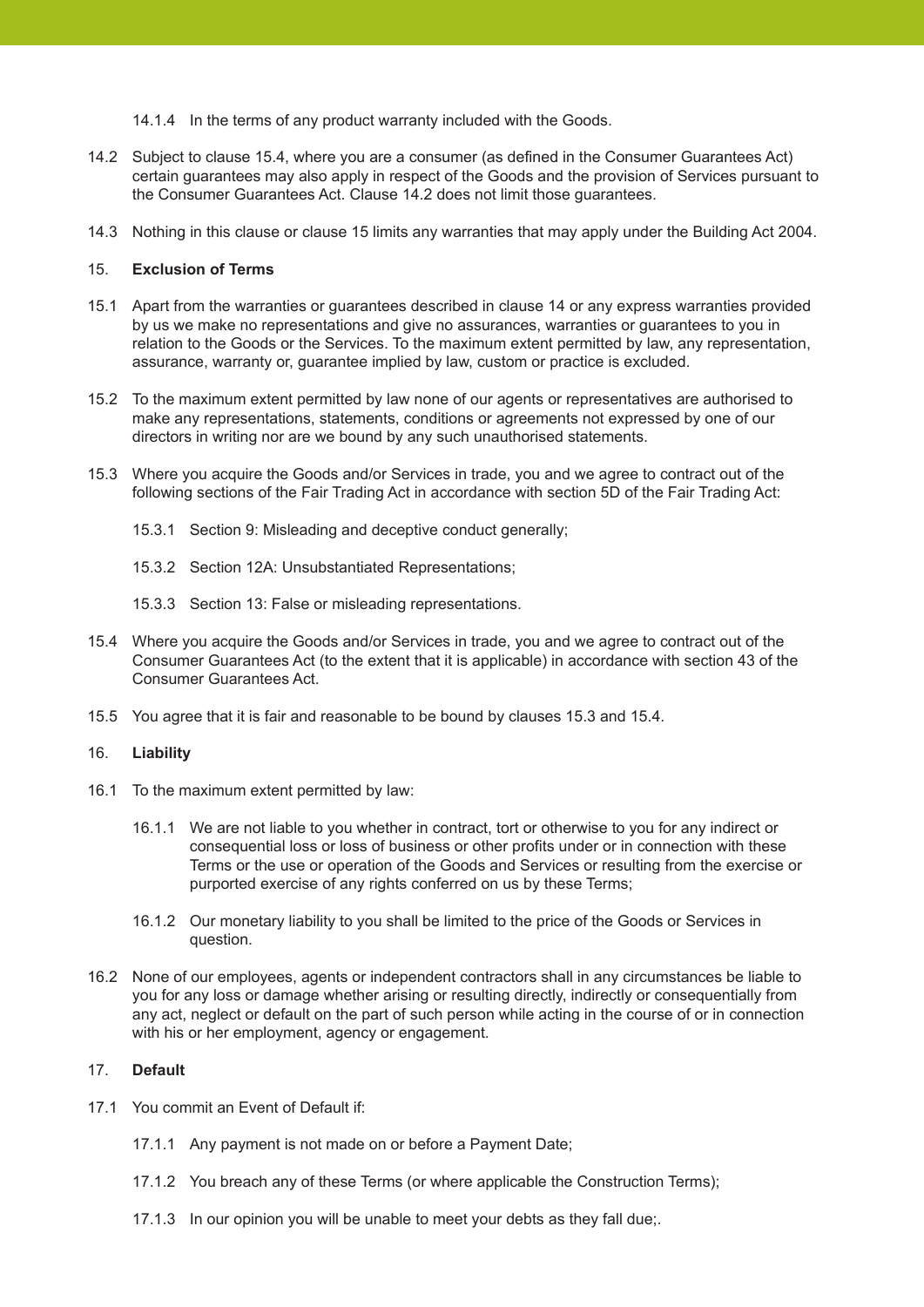14.1.4 In the terms of any product warranty included with the Goods.

- 14.2 Subject to clause 15.4, where you are a consumer (as defined in the Consumer Guarantees Act) certain guarantees may also apply in respect of the Goods and the provision of Services pursuant to the Consumer Guarantees Act. Clause 14.2 does not limit those guarantees.
- 14.3 Nothing in this clause or clause 15 limits any warranties that may apply under the Building Act 2004.

# 15. **Exclusion of Terms**

- 15.1 Apart from the warranties or guarantees described in clause 14 or any express warranties provided by us we make no representations and give no assurances, warranties or guarantees to you in relation to the Goods or the Services. To the maximum extent permitted by law, any representation, assurance, warranty or, guarantee implied by law, custom or practice is excluded.
- 15.2 To the maximum extent permitted by law none of our agents or representatives are authorised to make any representations, statements, conditions or agreements not expressed by one of our directors in writing nor are we bound by any such unauthorised statements.
- 15.3 Where you acquire the Goods and/or Services in trade, you and we agree to contract out of the following sections of the Fair Trading Act in accordance with section 5D of the Fair Trading Act:
	- 15.3.1 Section 9: Misleading and deceptive conduct generally;
	- 15.3.2 Section 12A: Unsubstantiated Representations;
	- 15.3.3 Section 13: False or misleading representations.
- 15.4 Where you acquire the Goods and/or Services in trade, you and we agree to contract out of the Consumer Guarantees Act (to the extent that it is applicable) in accordance with section 43 of the Consumer Guarantees Act.
- 15.5 You agree that it is fair and reasonable to be bound by clauses 15.3 and 15.4.

#### 16. **Liability**

- 16.1 To the maximum extent permitted by law:
	- 16.1.1 We are not liable to you whether in contract, tort or otherwise to you for any indirect or consequential loss or loss of business or other profits under or in connection with these Terms or the use or operation of the Goods and Services or resulting from the exercise or purported exercise of any rights conferred on us by these Terms;
	- 16.1.2 Our monetary liability to you shall be limited to the price of the Goods or Services in question.
- 16.2 None of our employees, agents or independent contractors shall in any circumstances be liable to you for any loss or damage whether arising or resulting directly, indirectly or consequentially from any act, neglect or default on the part of such person while acting in the course of or in connection with his or her employment, agency or engagement.

# 17. **Default**

- 17.1 You commit an Event of Default if:
	- 17.1.1 Any payment is not made on or before a Payment Date;
	- 17.1.2 You breach any of these Terms (or where applicable the Construction Terms);
	- 17.1.3 In our opinion you will be unable to meet your debts as they fall due;.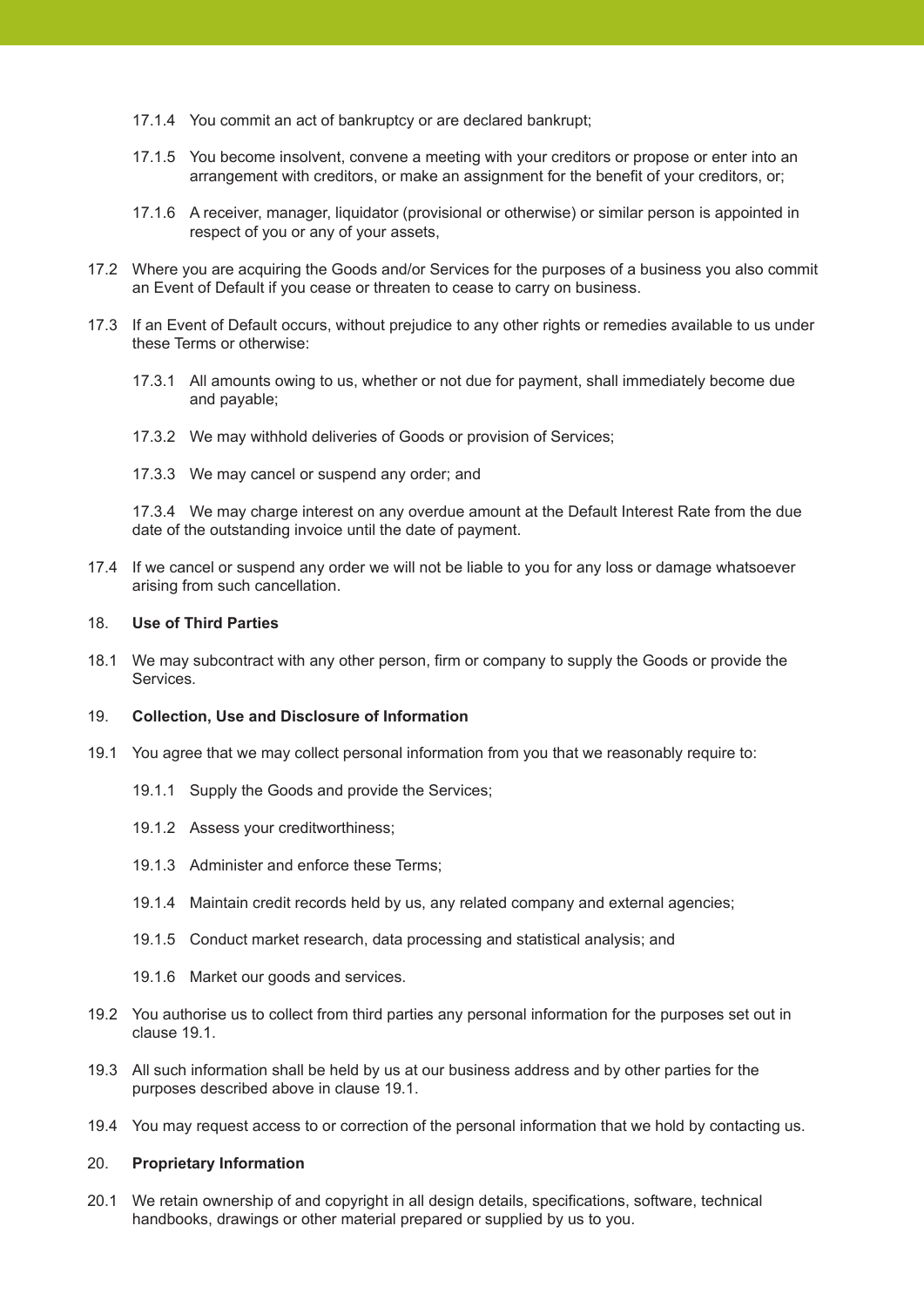- 17.1.4 You commit an act of bankruptcy or are declared bankrupt;
- 17.1.5 You become insolvent, convene a meeting with your creditors or propose or enter into an arrangement with creditors, or make an assignment for the benefit of your creditors, or;
- 17.1.6 A receiver, manager, liquidator (provisional or otherwise) or similar person is appointed in respect of you or any of your assets,
- 17.2 Where you are acquiring the Goods and/or Services for the purposes of a business you also commit an Event of Default if you cease or threaten to cease to carry on business.
- 17.3 If an Event of Default occurs, without prejudice to any other rights or remedies available to us under these Terms or otherwise:
	- 17.3.1 All amounts owing to us, whether or not due for payment, shall immediately become due and payable;
	- 17.3.2 We may withhold deliveries of Goods or provision of Services;
	- 17.3.3 We may cancel or suspend any order; and

 17.3.4 We may charge interest on any overdue amount at the Default Interest Rate from the due date of the outstanding invoice until the date of payment.

17.4 If we cancel or suspend any order we will not be liable to you for any loss or damage whatsoever arising from such cancellation.

#### 18. **Use of Third Parties**

18.1 We may subcontract with any other person, firm or company to supply the Goods or provide the Services.

#### 19. **Collection, Use and Disclosure of Information**

- 19.1 You agree that we may collect personal information from you that we reasonably require to:
	- 19.1.1 Supply the Goods and provide the Services;
	- 19.1.2 Assess your creditworthiness;
	- 19.1.3 Administer and enforce these Terms;
	- 19.1.4 Maintain credit records held by us, any related company and external agencies;
	- 19.1.5 Conduct market research, data processing and statistical analysis; and
	- 19.1.6 Market our goods and services.
- 19.2 You authorise us to collect from third parties any personal information for the purposes set out in clause 19.1.
- 19.3 All such information shall be held by us at our business address and by other parties for the purposes described above in clause 19.1.
- 19.4 You may request access to or correction of the personal information that we hold by contacting us.

#### 20. **Proprietary Information**

20.1 We retain ownership of and copyright in all design details, specifications, software, technical handbooks, drawings or other material prepared or supplied by us to you.